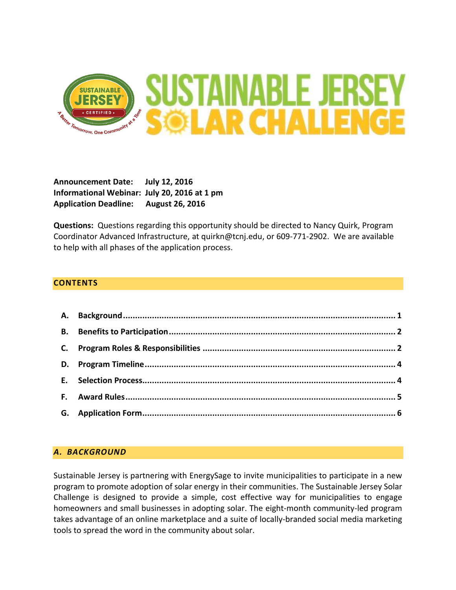

**Announcement Date: July 12, 2016 Informational Webinar: July 20, 2016 at 1 pm Application Deadline: August 26, 2016**

**Questions:** Questions regarding this opportunity should be directed to Nancy Quirk, Program Coordinator Advanced Infrastructure, at quirkn@tcnj.edu, or 609-771-2902. We are available to help with all phases of the application process.

#### **CONTENTS**

## <span id="page-0-0"></span>*A. BACKGROUND*

Sustainable Jersey is partnering with EnergySage to invite municipalities to participate in a new program to promote adoption of solar energy in their communities. The Sustainable Jersey Solar Challenge is designed to provide a simple, cost effective way for municipalities to engage homeowners and small businesses in adopting solar. The eight-month community-led program takes advantage of an online marketplace and a suite of locally-branded social media marketing tools to spread the word in the community about solar.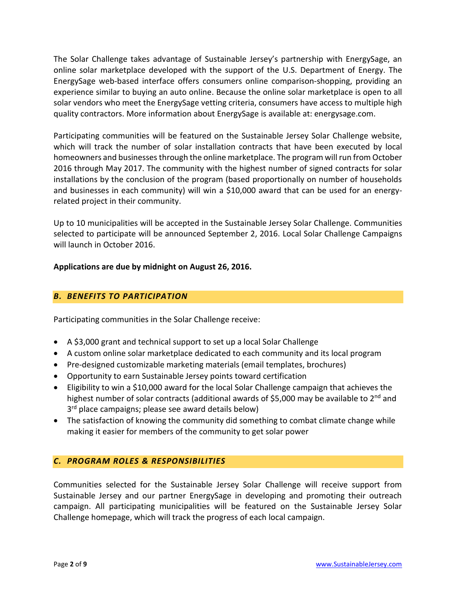The Solar Challenge takes advantage of Sustainable Jersey's partnership with EnergySage, an online solar marketplace developed with the support of the U.S. Department of Energy. The EnergySage web-based interface offers consumers online comparison-shopping, providing an experience similar to buying an auto online. Because the online solar marketplace is open to all solar vendors who meet the EnergySage vetting criteria, consumers have access to multiple high quality contractors. More information about EnergySage is available at: energysage.com.

Participating communities will be featured on the Sustainable Jersey Solar Challenge website, which will track the number of solar installation contracts that have been executed by local homeowners and businessesthrough the online marketplace. The program will run from October 2016 through May 2017. The community with the highest number of signed contracts for solar installations by the conclusion of the program (based proportionally on number of households and businesses in each community) will win a \$10,000 award that can be used for an energyrelated project in their community.

Up to 10 municipalities will be accepted in the Sustainable Jersey Solar Challenge. Communities selected to participate will be announced September 2, 2016. Local Solar Challenge Campaigns will launch in October 2016.

## **Applications are due by midnight on August 26, 2016.**

# <span id="page-1-0"></span>*B. BENEFITS TO PARTICIPATION*

Participating communities in the Solar Challenge receive:

- A \$3,000 grant and technical support to set up a local Solar Challenge
- A custom online solar marketplace dedicated to each community and its local program
- Pre-designed customizable marketing materials (email templates, brochures)
- Opportunity to earn Sustainable Jersey points toward certification
- Eligibility to win a \$10,000 award for the local Solar Challenge campaign that achieves the highest number of solar contracts (additional awards of \$5,000 may be available to 2<sup>nd</sup> and 3<sup>rd</sup> place campaigns; please see award details below)
- The satisfaction of knowing the community did something to combat climate change while making it easier for members of the community to get solar power

## <span id="page-1-1"></span>*C. PROGRAM ROLES & RESPONSIBILITIES*

Communities selected for the Sustainable Jersey Solar Challenge will receive support from Sustainable Jersey and our partner EnergySage in developing and promoting their outreach campaign. All participating municipalities will be featured on the Sustainable Jersey Solar Challenge homepage, which will track the progress of each local campaign.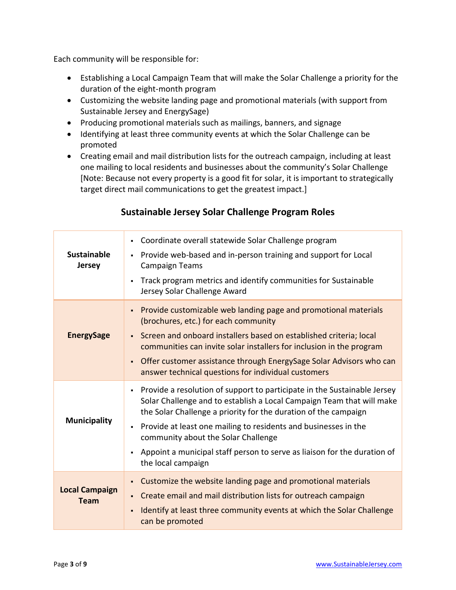Each community will be responsible for:

- Establishing a Local Campaign Team that will make the Solar Challenge a priority for the duration of the eight-month program
- Customizing the website landing page and promotional materials (with support from Sustainable Jersey and EnergySage)
- Producing promotional materials such as mailings, banners, and signage
- Identifying at least three community events at which the Solar Challenge can be promoted
- Creating email and mail distribution lists for the outreach campaign, including at least one mailing to local residents and businesses about the community's Solar Challenge [Note: Because not every property is a good fit for solar, it is important to strategically target direct mail communications to get the greatest impact.]

| <b>Sustainable</b><br><b>Jersey</b>  | Coordinate overall statewide Solar Challenge program<br>$\blacksquare$<br>Provide web-based and in-person training and support for Local<br>٠<br><b>Campaign Teams</b><br>Track program metrics and identify communities for Sustainable<br>$\blacksquare$<br>Jersey Solar Challenge Award                                                                                                                                                                                |
|--------------------------------------|---------------------------------------------------------------------------------------------------------------------------------------------------------------------------------------------------------------------------------------------------------------------------------------------------------------------------------------------------------------------------------------------------------------------------------------------------------------------------|
| <b>EnergySage</b>                    | Provide customizable web landing page and promotional materials<br>$\blacksquare$<br>(brochures, etc.) for each community<br>Screen and onboard installers based on established criteria; local<br>$\blacksquare$<br>communities can invite solar installers for inclusion in the program<br>Offer customer assistance through EnergySage Solar Advisors who can<br>٠<br>answer technical questions for individual customers                                              |
| <b>Municipality</b>                  | Provide a resolution of support to participate in the Sustainable Jersey<br>٠<br>Solar Challenge and to establish a Local Campaign Team that will make<br>the Solar Challenge a priority for the duration of the campaign<br>Provide at least one mailing to residents and businesses in the<br>$\blacksquare$<br>community about the Solar Challenge<br>Appoint a municipal staff person to serve as liaison for the duration of<br>$\blacksquare$<br>the local campaign |
| <b>Local Campaign</b><br><b>Team</b> | Customize the website landing page and promotional materials<br>٠<br>Create email and mail distribution lists for outreach campaign<br>$\blacksquare$<br>Identify at least three community events at which the Solar Challenge<br>Ē,<br>can be promoted                                                                                                                                                                                                                   |

# **Sustainable Jersey Solar Challenge Program Roles**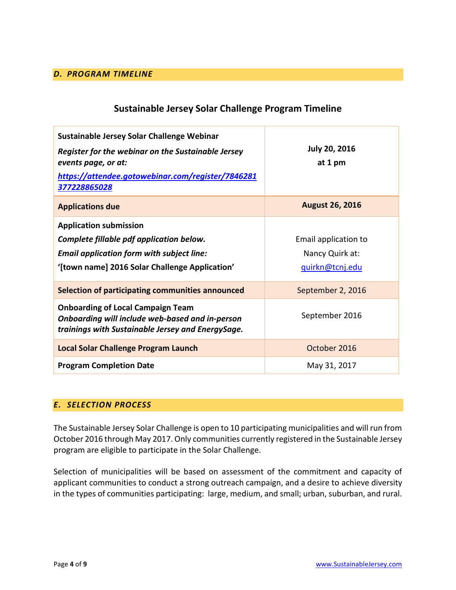#### <span id="page-3-0"></span>*D. PROGRAM TIMELINE*

## **Sustainable Jersey Solar Challenge Program Timeline**

| Sustainable Jersey Solar Challenge Webinar<br>Register for the webinar on the Sustainable Jersey<br>events page, or at:<br>https://attendee.gotowebinar.com/register/7846281<br>377228865028 | <b>July 20, 2016</b><br>at 1 pm                            |
|----------------------------------------------------------------------------------------------------------------------------------------------------------------------------------------------|------------------------------------------------------------|
| <b>Applications due</b>                                                                                                                                                                      | <b>August 26, 2016</b>                                     |
| <b>Application submission</b><br>Complete fillable pdf application below.<br><b>Email application form with subject line:</b><br>'[town name] 2016 Solar Challenge Application'              | Email application to<br>Nancy Quirk at:<br>guirkn@tcnj.edu |
| Selection of participating communities announced                                                                                                                                             | September 2, 2016                                          |
| <b>Onboarding of Local Campaign Team</b><br>Onboarding will include web-based and in-person<br>trainings with Sustainable Jersey and EnergySage.                                             | September 2016                                             |
| Local Solar Challenge Program Launch                                                                                                                                                         | October 2016                                               |
| <b>Program Completion Date</b>                                                                                                                                                               | May 31, 2017                                               |

#### <span id="page-3-1"></span>*E. SELECTION PROCESS*

The Sustainable Jersey Solar Challenge is open to 10 participating municipalities and will run from October 2016 through May 2017. Only communities currently registered in the Sustainable Jersey program are eligible to participate in the Solar Challenge.

Selection of municipalities will be based on assessment of the commitment and capacity of applicant communities to conduct a strong outreach campaign, and a desire to achieve diversity in the types of communities participating: large, medium, and small; urban, suburban, and rural.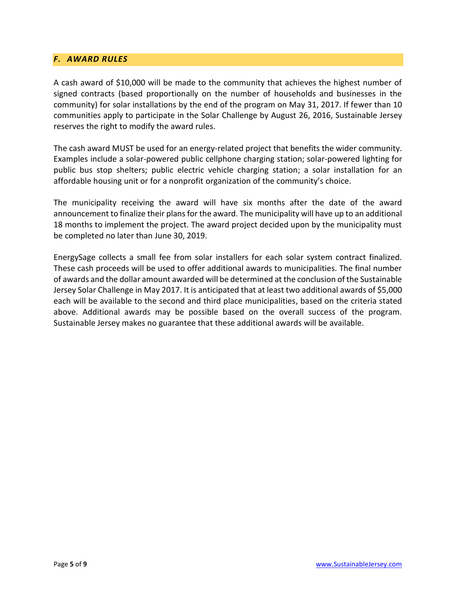#### <span id="page-4-0"></span>*F. AWARD RULES*

A cash award of \$10,000 will be made to the community that achieves the highest number of signed contracts (based proportionally on the number of households and businesses in the community) for solar installations by the end of the program on May 31, 2017. If fewer than 10 communities apply to participate in the Solar Challenge by August 26, 2016, Sustainable Jersey reserves the right to modify the award rules.

The cash award MUST be used for an energy-related project that benefits the wider community. Examples include a solar-powered public cellphone charging station; solar-powered lighting for public bus stop shelters; public electric vehicle charging station; a solar installation for an affordable housing unit or for a nonprofit organization of the community's choice.

The municipality receiving the award will have six months after the date of the award announcement to finalize their plans for the award. The municipality will have up to an additional 18 months to implement the project. The award project decided upon by the municipality must be completed no later than June 30, 2019.

EnergySage collects a small fee from solar installers for each solar system contract finalized. These cash proceeds will be used to offer additional awards to municipalities. The final number of awards and the dollar amount awarded will be determined at the conclusion of the Sustainable Jersey Solar Challenge in May 2017. It is anticipated that at least two additional awards of \$5,000 each will be available to the second and third place municipalities, based on the criteria stated above. Additional awards may be possible based on the overall success of the program. Sustainable Jersey makes no guarantee that these additional awards will be available.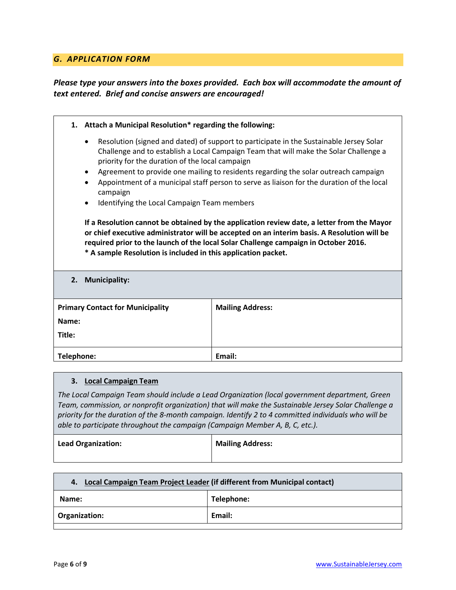#### <span id="page-5-0"></span>*G. APPLICATION FORM*

## *Please type your answers into the boxes provided. Each box will accommodate the amount of text entered. Brief and concise answers are encouraged!*

| Attach a Municipal Resolution* regarding the following:<br>1.                                                                                                                                                                                                                                                                                                                                                                                                                                                                          |                         |  |  |  |  |  |
|----------------------------------------------------------------------------------------------------------------------------------------------------------------------------------------------------------------------------------------------------------------------------------------------------------------------------------------------------------------------------------------------------------------------------------------------------------------------------------------------------------------------------------------|-------------------------|--|--|--|--|--|
| Resolution (signed and dated) of support to participate in the Sustainable Jersey Solar<br>$\bullet$<br>Challenge and to establish a Local Campaign Team that will make the Solar Challenge a<br>priority for the duration of the local campaign<br>Agreement to provide one mailing to residents regarding the solar outreach campaign<br>$\bullet$<br>Appointment of a municipal staff person to serve as liaison for the duration of the local<br>$\bullet$<br>campaign<br>Identifying the Local Campaign Team members<br>$\bullet$ |                         |  |  |  |  |  |
| If a Resolution cannot be obtained by the application review date, a letter from the Mayor<br>or chief executive administrator will be accepted on an interim basis. A Resolution will be<br>required prior to the launch of the local Solar Challenge campaign in October 2016.<br>* A sample Resolution is included in this application packet.                                                                                                                                                                                      |                         |  |  |  |  |  |
| 2.<br><b>Municipality:</b>                                                                                                                                                                                                                                                                                                                                                                                                                                                                                                             |                         |  |  |  |  |  |
| <b>Primary Contact for Municipality</b><br>Name:<br>Title:                                                                                                                                                                                                                                                                                                                                                                                                                                                                             | <b>Mailing Address:</b> |  |  |  |  |  |
| Telephone:                                                                                                                                                                                                                                                                                                                                                                                                                                                                                                                             | Email:                  |  |  |  |  |  |

#### **3. Local Campaign Team**

*The Local Campaign Team should include a Lead Organization (local government department, Green Team, commission, or nonprofit organization) that will make the Sustainable Jersey Solar Challenge a priority for the duration of the 8-month campaign. Identify 2 to 4 committed individuals who will be able to participate throughout the campaign (Campaign Member A, B, C, etc.).*

| <b>Lead Organization:</b> | <b>Mailing Address:</b> |
|---------------------------|-------------------------|
|                           |                         |

| 4. Local Campaign Team Project Leader (if different from Municipal contact) |            |  |
|-----------------------------------------------------------------------------|------------|--|
| Name:                                                                       | Telephone: |  |
| Organization:                                                               | Email:     |  |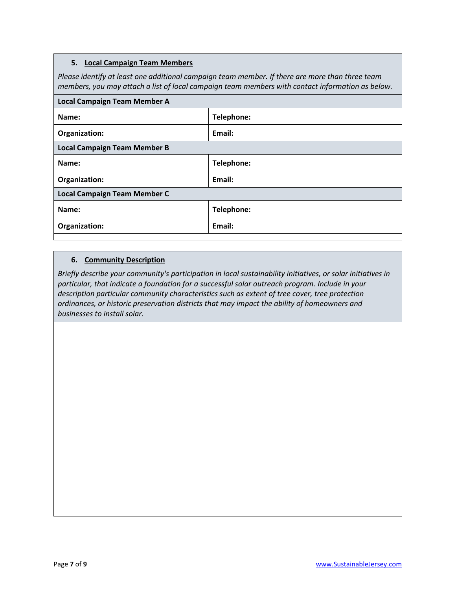#### **5. Local Campaign Team Members**

*Please identify at least one additional campaign team member. If there are more than three team members, you may attach a list of local campaign team members with contact information as below.*

| <b>Local Campaign Team Member A</b> |            |  |
|-------------------------------------|------------|--|
| Name:                               | Telephone: |  |
| Organization:                       | Email:     |  |
| <b>Local Campaign Team Member B</b> |            |  |
| Name:                               | Telephone: |  |
| Organization:                       | Email:     |  |
| <b>Local Campaign Team Member C</b> |            |  |
| Name:                               | Telephone: |  |
| Organization:                       | Email:     |  |

#### **6. Community Description**

*Briefly describe your community's participation in local sustainability initiatives, or solar initiatives in particular, that indicate a foundation for a successful solar outreach program. Include in your description particular community characteristics such as extent of tree cover, tree protection ordinances, or historic preservation districts that may impact the ability of homeowners and businesses to install solar.*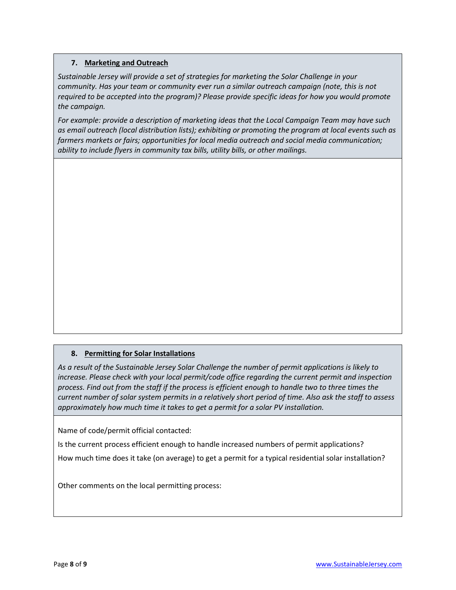#### **7. Marketing and Outreach**

*Sustainable Jersey will provide a set of strategies for marketing the Solar Challenge in your community. Has your team or community ever run a similar outreach campaign (note, this is not required to be accepted into the program)? Please provide specific ideas for how you would promote the campaign.* 

*For example: provide a description of marketing ideas that the Local Campaign Team may have such as email outreach (local distribution lists); exhibiting or promoting the program at local events such as farmers markets or fairs; opportunities for local media outreach and social media communication; ability to include flyers in community tax bills, utility bills, or other mailings.*

#### **8. Permitting for Solar Installations**

*As a result of the Sustainable Jersey Solar Challenge the number of permit applications is likely to increase. Please check with your local permit/code office regarding the current permit and inspection process. Find out from the staff if the process is efficient enough to handle two to three times the current number of solar system permits in a relatively short period of time. Also ask the staff to assess approximately how much time it takes to get a permit for a solar PV installation.*

Name of code/permit official contacted:

Is the current process efficient enough to handle increased numbers of permit applications?

How much time does it take (on average) to get a permit for a typical residential solar installation?

Other comments on the local permitting process: